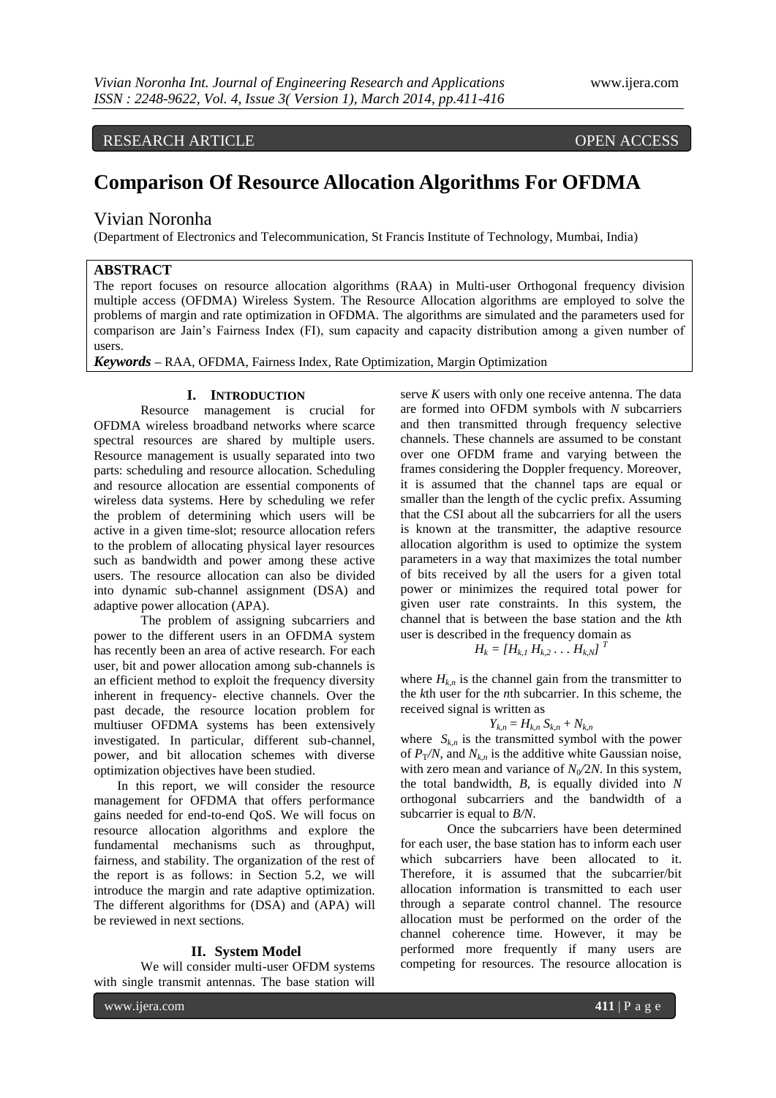RESEARCH ARTICLE OPEN ACCESS

# **Comparison Of Resource Allocation Algorithms For OFDMA**

# Vivian Noronha

(Department of Electronics and Telecommunication, St Francis Institute of Technology, Mumbai, India)

# **ABSTRACT**

The report focuses on resource allocation algorithms (RAA) in Multi-user Orthogonal frequency division multiple access (OFDMA) Wireless System. The Resource Allocation algorithms are employed to solve the problems of margin and rate optimization in OFDMA. The algorithms are simulated and the parameters used for comparison are Jain's Fairness Index (FI), sum capacity and capacity distribution among a given number of users.

*Keywords* **–** RAA, OFDMA, Fairness Index, Rate Optimization, Margin Optimization

# **I. INTRODUCTION**

Resource management is crucial for OFDMA wireless broadband networks where scarce spectral resources are shared by multiple users. Resource management is usually separated into two parts: scheduling and resource allocation. Scheduling and resource allocation are essential components of wireless data systems. Here by scheduling we refer the problem of determining which users will be active in a given time-slot; resource allocation refers to the problem of allocating physical layer resources such as bandwidth and power among these active users. The resource allocation can also be divided into dynamic sub-channel assignment (DSA) and adaptive power allocation (APA).

The problem of assigning subcarriers and power to the different users in an OFDMA system has recently been an area of active research. For each user, bit and power allocation among sub-channels is an efficient method to exploit the frequency diversity inherent in frequency- elective channels. Over the past decade, the resource location problem for multiuser OFDMA systems has been extensively investigated. In particular, different sub-channel, power, and bit allocation schemes with diverse optimization objectives have been studied.

In this report, we will consider the resource management for OFDMA that offers performance gains needed for end-to-end QoS. We will focus on resource allocation algorithms and explore the fundamental mechanisms such as throughput, fairness, and stability. The organization of the rest of the report is as follows: in Section 5.2, we will introduce the margin and rate adaptive optimization. The different algorithms for (DSA) and (APA) will be reviewed in next sections.

# **II. System Model**

We will consider multi-user OFDM systems with single transmit antennas. The base station will

serve *K* users with only one receive antenna. The data are formed into OFDM symbols with *N* subcarriers and then transmitted through frequency selective channels. These channels are assumed to be constant over one OFDM frame and varying between the frames considering the Doppler frequency. Moreover, it is assumed that the channel taps are equal or smaller than the length of the cyclic prefix. Assuming that the CSI about all the subcarriers for all the users is known at the transmitter, the adaptive resource allocation algorithm is used to optimize the system parameters in a way that maximizes the total number of bits received by all the users for a given total power or minimizes the required total power for given user rate constraints. In this system, the channel that is between the base station and the *k*th user is described in the frequency domain as

$$
H_k = [H_{k,1} H_{k,2} \dots H_{k,N}]^T
$$

where  $H_{k,n}$  is the channel gain from the transmitter to the *k*th user for the *n*th subcarrier. In this scheme, the received signal is written as

$$
Y_{k,n}=H_{k,n}S_{k,n}+N_{k,n}
$$

where  $S_{k,n}$  is the transmitted symbol with the power of  $P_T/N$ , and  $N_{k,n}$  is the additive white Gaussian noise, with zero mean and variance of  $N_0/2N$ . In this system, the total bandwidth, *B*, is equally divided into *N*  orthogonal subcarriers and the bandwidth of a subcarrier is equal to *B/N*.

Once the subcarriers have been determined for each user, the base station has to inform each user which subcarriers have been allocated to it. Therefore, it is assumed that the subcarrier/bit allocation information is transmitted to each user through a separate control channel. The resource allocation must be performed on the order of the channel coherence time. However, it may be performed more frequently if many users are competing for resources. The resource allocation is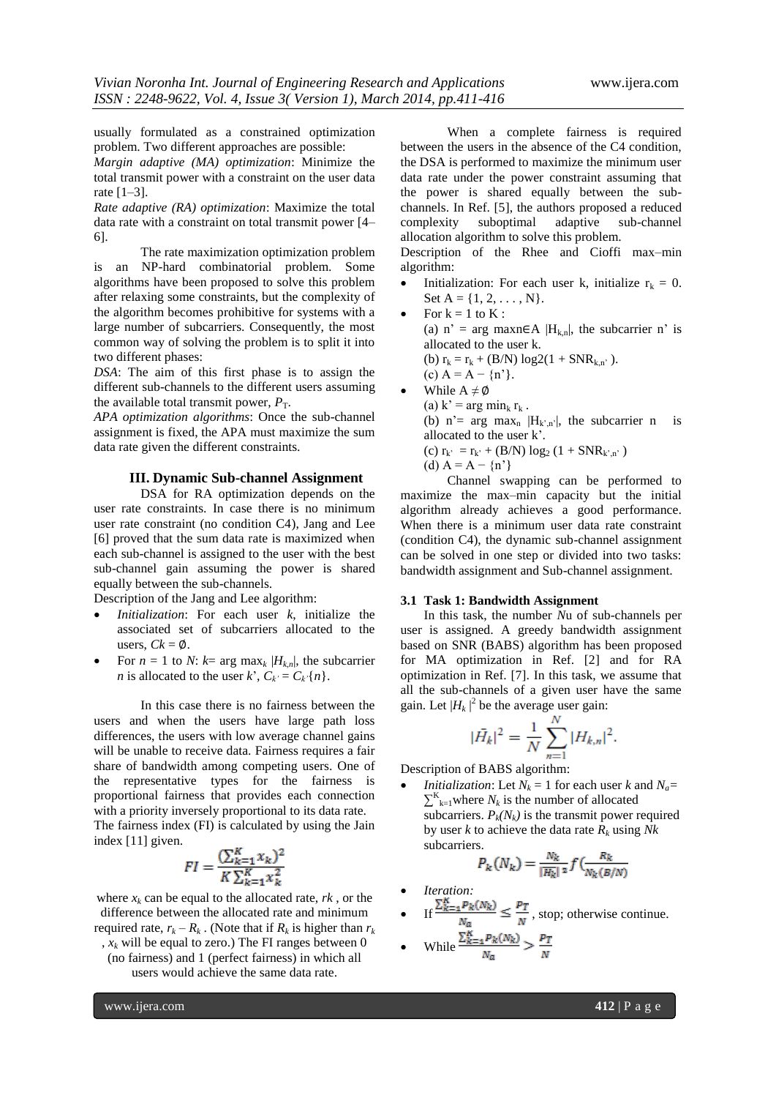usually formulated as a constrained optimization problem. Two different approaches are possible:

*Margin adaptive (MA) optimization*: Minimize the total transmit power with a constraint on the user data rate [1–3].

*Rate adaptive (RA) optimization*: Maximize the total data rate with a constraint on total transmit power [4– 6].

The rate maximization optimization problem is an NP-hard combinatorial problem. Some algorithms have been proposed to solve this problem after relaxing some constraints, but the complexity of the algorithm becomes prohibitive for systems with a large number of subcarriers. Consequently, the most common way of solving the problem is to split it into two different phases:

*DSA*: The aim of this first phase is to assign the different sub-channels to the different users assuming the available total transmit power,  $P_T$ .

*APA optimization algorithms*: Once the sub-channel assignment is fixed, the APA must maximize the sum data rate given the different constraints.

# **III. Dynamic Sub-channel Assignment**

DSA for RA optimization depends on the user rate constraints. In case there is no minimum user rate constraint (no condition C4), Jang and Lee [6] proved that the sum data rate is maximized when each sub-channel is assigned to the user with the best sub-channel gain assuming the power is shared equally between the sub-channels.

Description of the Jang and Lee algorithm:

- *Initialization*: For each user *k*, initialize the associated set of subcarriers allocated to the users,  $Ck = \emptyset$ .
- For  $n = 1$  to *N*:  $k = \arg \max_k |H_{k,n}|$ , the subcarrier *n* is allocated to the user *k*',  $C_k = C_k \{n\}$ .

In this case there is no fairness between the users and when the users have large path loss differences, the users with low average channel gains will be unable to receive data. Fairness requires a fair share of bandwidth among competing users. One of the representative types for the fairness is proportional fairness that provides each connection with a priority inversely proportional to its data rate. The fairness index (FI) is calculated by using the Jain

index [11] given.

$$
FI = \frac{(\sum_{k=1}^{R} x_k)^2}{K \sum_{k=1}^{K} x_k^2}
$$

where  $x_k$  can be equal to the allocated rate,  $rk$ , or the difference between the allocated rate and minimum required rate,  $r_k - R_k$ . (Note that if  $R_k$  is higher than  $r_k$ ,  $x_k$  will be equal to zero.) The FI ranges between 0 (no fairness) and 1 (perfect fairness) in which all

users would achieve the same data rate.

When a complete fairness is required between the users in the absence of the C4 condition, the DSA is performed to maximize the minimum user data rate under the power constraint assuming that the power is shared equally between the subchannels. In Ref. [5], the authors proposed a reduced complexity suboptimal adaptive sub-channel allocation algorithm to solve this problem.

Description of the Rhee and Cioffi max–min algorithm:

- Initialization: For each user k, initialize  $r_k = 0$ . Set  $A = \{1, 2, \ldots, N\}.$
- For  $k = 1$  to  $K$  : (a) n' = arg maxn∈A  $|H_{k,n}|$ , the subcarrier n' is allocated to the user k. (b)  $r_k = r_k + (B/N) \log 2(1 + SNR_{k,n})$ . (c)  $A = A - {n'}.$
- While  $A \neq \emptyset$ (a)  $k'$  = arg min<sub>k</sub> r<sub>k</sub>. (b) n'= arg max<sub>n</sub>  $|H_{k,n}|$ , the subcarrier n is allocated to the user k'. (c)  $r_{k'} = r_{k'} + (B/N) \log_2 (1 + SNR_{k',n'})$ (d)  $A = A - {n' }$

Channel swapping can be performed to maximize the max–min capacity but the initial algorithm already achieves a good performance. When there is a minimum user data rate constraint (condition C4), the dynamic sub-channel assignment can be solved in one step or divided into two tasks: bandwidth assignment and Sub-channel assignment.

# **3.1 Task 1: Bandwidth Assignment**

In this task, the number *N*u of sub-channels per user is assigned. A greedy bandwidth assignment based on SNR (BABS) algorithm has been proposed for MA optimization in Ref. [2] and for RA optimization in Ref. [7]. In this task, we assume that all the sub-channels of a given user have the same gain. Let  $|H_k|^2$  be the average user gain:

$$
|\bar{H}_k|^2 = \frac{1}{N} \sum_{n=1}^N |H_{k,n}|^2.
$$

Description of BABS algorithm:

*Initialization*: Let  $N_k = 1$  for each user *k* and  $N_a =$  $\sum_{k=1}^{K}$  where  $N_k$  is the number of allocated subcarriers.  $P_k(N_k)$  is the transmit power required by user *k* to achieve the data rate *R<sup>k</sup>* using *Nk* subcarriers.

$$
P_k(N_k) = \frac{N_k}{|H_k|} \cdot f\left(\frac{R_k}{N_k(B/N)}\right)
$$

- *Iteration:*
- $\text{If } \frac{\Delta_{K-1} \cdot \Delta_{K} \cdot \Delta_{K}}{N} \leq \frac{1}{N}, \text{stop; otherwise continue.}$

• While 
$$
\frac{\Delta_{k=1} P_R(x_N)}{N_a} > \frac{P_T}{N}
$$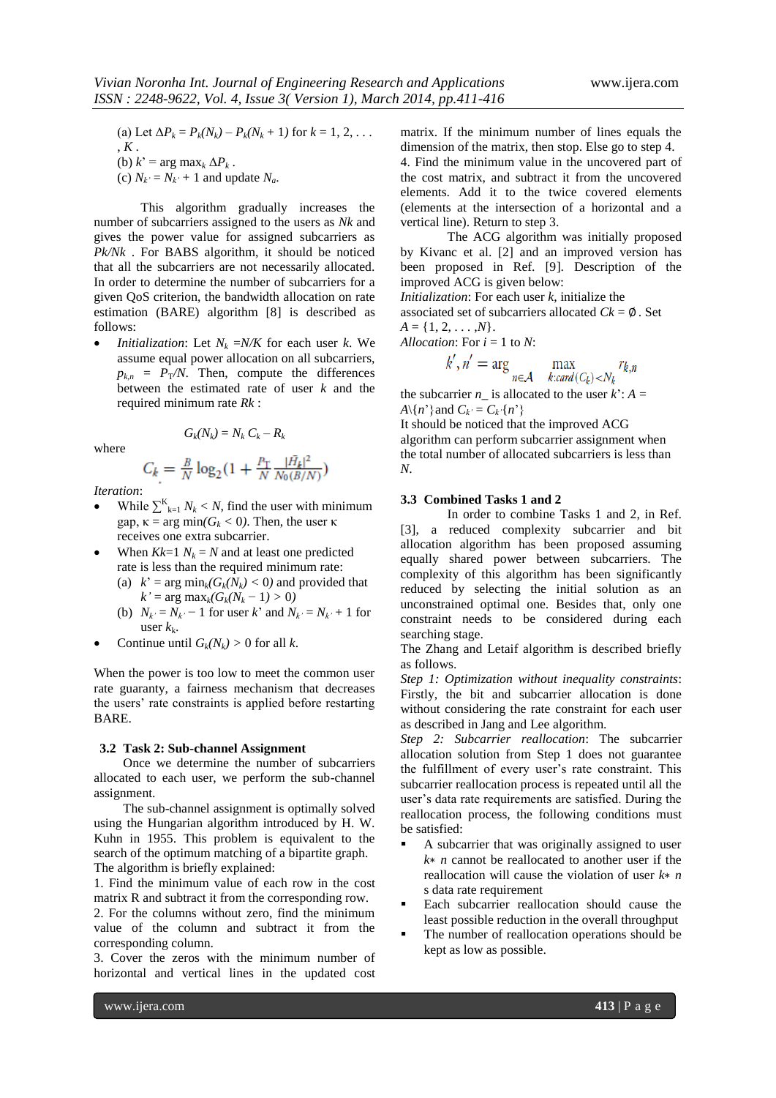(a) Let  $\Delta P_k = P_k(N_k) - P_k(N_k + 1)$  for  $k = 1, 2, ...$ , *K* . (b)  $k' = \arg \max_k \Delta P_k$ . (c)  $N_k = N_k + 1$  and update  $N_a$ .

This algorithm gradually increases the number of subcarriers assigned to the users as *Nk* and gives the power value for assigned subcarriers as *Pk/Nk* . For BABS algorithm, it should be noticed that all the subcarriers are not necessarily allocated. In order to determine the number of subcarriers for a given QoS criterion, the bandwidth allocation on rate estimation (BARE) algorithm [8] is described as follows:

*Initialization:* Let  $N_k = N/K$  for each user *k*. We assume equal power allocation on all subcarriers,  $p_{k,n} = P_T/N$ . Then, compute the differences between the estimated rate of user *k* and the required minimum rate *Rk* :

where

$$
C_k = \frac{B}{N} \log_2(1 + \frac{P_T}{N} \frac{|\bar{H_k}|^2}{N_0(B/N)})
$$

 $G_k(N_k) = N_k C_k - R_k$ 

*Iteration*:

- While  $\sum_{k=1}^{K} N_k < N$ , find the user with minimum gap,  $\kappa = \arg \min(G_k < 0)$ . Then, the user  $\kappa$ receives one extra subcarrier.
- When  $Kk=1$   $N_k = N$  and at least one predicted rate is less than the required minimum rate:
	- (a)  $k' = \arg \min_k (G_k(N_k) < 0)$  and provided that  $k' = \arg \max_k (G_k(N_k - 1) > 0)$
	- (b)  $N_{k'} = N_{k'} 1$  for user *k*' and  $N_{k'} = N_{k'} + 1$  for user  $k_k$ .
- Continue until  $G_k(N_k) > 0$  for all *k*.

When the power is too low to meet the common user rate guaranty, a fairness mechanism that decreases the users' rate constraints is applied before restarting BARE.

### **3.2 Task 2: Sub-channel Assignment**

Once we determine the number of subcarriers allocated to each user, we perform the sub-channel assignment.

The sub-channel assignment is optimally solved using the Hungarian algorithm introduced by H. W. Kuhn in 1955. This problem is equivalent to the search of the optimum matching of a bipartite graph. The algorithm is briefly explained:

1. Find the minimum value of each row in the cost matrix R and subtract it from the corresponding row.

2. For the columns without zero, find the minimum value of the column and subtract it from the corresponding column.

3. Cover the zeros with the minimum number of horizontal and vertical lines in the updated cost matrix. If the minimum number of lines equals the dimension of the matrix, then stop. Else go to step 4.

4. Find the minimum value in the uncovered part of the cost matrix, and subtract it from the uncovered elements. Add it to the twice covered elements (elements at the intersection of a horizontal and a vertical line). Return to step 3.

The ACG algorithm was initially proposed by Kivanc et al. [2] and an improved version has been proposed in Ref. [9]. Description of the improved ACG is given below:

*Initialization*: For each user *k*, initialize the

associated set of subcarriers allocated  $Ck = \emptyset$ . Set

$$
A=\{1,2,\ldots,N\}.
$$

*Allocation*: For 
$$
i = 1
$$
 to  $N$ :

$$
k', n' = \arg \max_{n \in \mathcal{A}} \max_{k: card(C_k) < N_k} r_{k,n}
$$

the subcarrier  $n_{\perp}$  is allocated to the user  $k$ :  $A =$ *A*\{*n*'} and  $C_k = C_k \{n\}$ 

It should be noticed that the improved ACG algorithm can perform subcarrier assignment when the total number of allocated subcarriers is less than *N*.

# **3.3 Combined Tasks 1 and 2**

In order to combine Tasks 1 and 2, in Ref. [3], a reduced complexity subcarrier and bit allocation algorithm has been proposed assuming equally shared power between subcarriers. The complexity of this algorithm has been significantly reduced by selecting the initial solution as an unconstrained optimal one. Besides that, only one constraint needs to be considered during each searching stage.

The Zhang and Letaif algorithm is described briefly as follows.

*Step 1: Optimization without inequality constraints*: Firstly, the bit and subcarrier allocation is done without considering the rate constraint for each user as described in Jang and Lee algorithm.

*Step 2: Subcarrier reallocation*: The subcarrier allocation solution from Step 1 does not guarantee the fulfillment of every user's rate constraint. This subcarrier reallocation process is repeated until all the user's data rate requirements are satisfied. During the reallocation process, the following conditions must be satisfied:

- A subcarrier that was originally assigned to user *k*∗ *n* cannot be reallocated to another user if the reallocation will cause the violation of user *k*∗ *n*  s data rate requirement
- Each subcarrier reallocation should cause the least possible reduction in the overall throughput
- The number of reallocation operations should be kept as low as possible.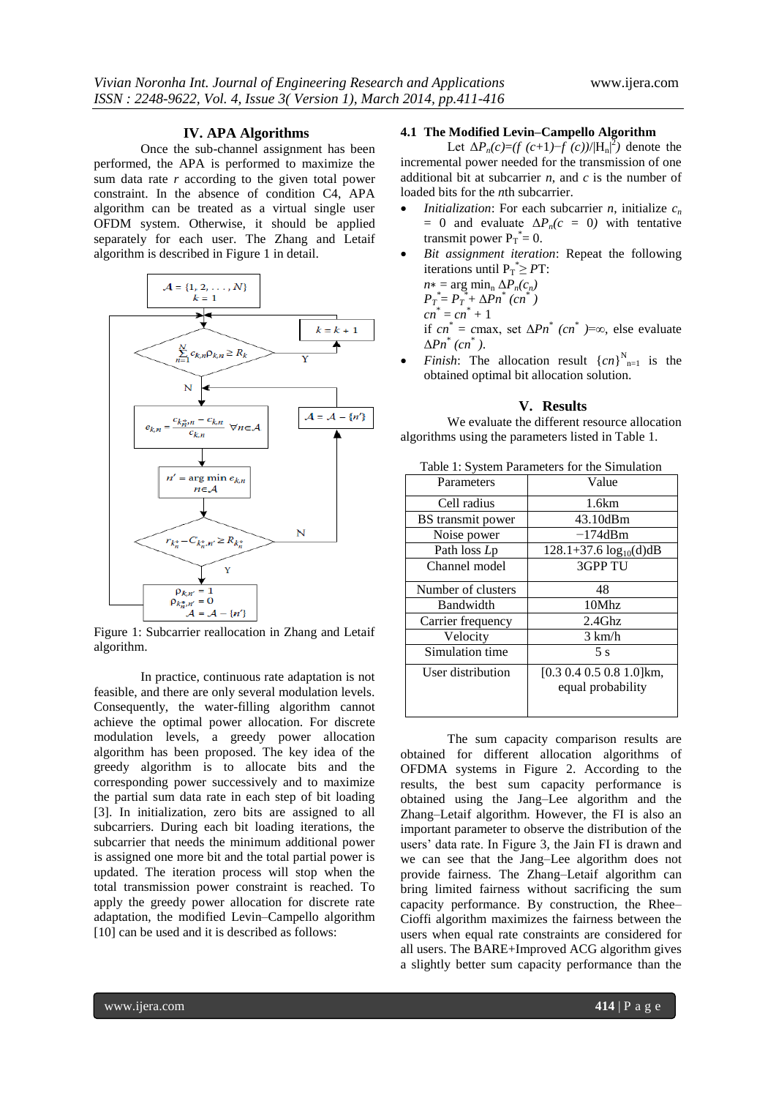# **IV. APA Algorithms**

Once the sub-channel assignment has been performed, the APA is performed to maximize the sum data rate *r* according to the given total power constraint. In the absence of condition C4, APA algorithm can be treated as a virtual single user OFDM system. Otherwise, it should be applied separately for each user. The Zhang and Letaif algorithm is described in Figure 1 in detail.



Figure 1: Subcarrier reallocation in Zhang and Letaif algorithm.

In practice, continuous rate adaptation is not feasible, and there are only several modulation levels. Consequently, the water-filling algorithm cannot achieve the optimal power allocation. For discrete modulation levels, a greedy power allocation algorithm has been proposed. The key idea of the greedy algorithm is to allocate bits and the corresponding power successively and to maximize the partial sum data rate in each step of bit loading [3]. In initialization, zero bits are assigned to all subcarriers. During each bit loading iterations, the subcarrier that needs the minimum additional power is assigned one more bit and the total partial power is updated. The iteration process will stop when the total transmission power constraint is reached. To apply the greedy power allocation for discrete rate adaptation, the modified Levin–Campello algorithm [10] can be used and it is described as follows:

# **4.1 The Modified Levin–Campello Algorithm**

Let  $\Delta P_n(c) = (f(c+1) - f(c))/|H_n|^2$  denote the incremental power needed for the transmission of one additional bit at subcarrier *n*, and *c* is the number of loaded bits for the *n*th subcarrier.

- *Initialization*: For each subcarrier *n*, initialize  $c_n$  $= 0$  and evaluate  $\Delta P_n(c = 0)$  with tentative transmit power  $P_T^* = 0$ .
- *Bit assignment iteration*: Repeat the following iterations until  $P_T^* \geq PT$ :

 $n* = \arg \min_{n} \Delta P_n(c_n)$  $P_T^* = P_T^* + \Delta P n^*$  (cn<sup>\*</sup>)  $cn^* = cn^* + 1$ if  $cn^* = cmax$ , set  $\Delta Pn^*$   $(cn^*) = \infty$ , else evaluate Δ*Pn*\* *(cn*\* *)*.

• *Finish*: The allocation result  $\{cn\}_{n=1}^{N}$  is the obtained optimal bit allocation solution.

### **V. Results**

We evaluate the different resource allocation algorithms using the parameters listed in Table 1.

| Parameters         | Value                                                    |
|--------------------|----------------------------------------------------------|
| Cell radius        | 1.6km                                                    |
| BS transmit power  | 43.10dBm                                                 |
| Noise power        | $-174$ dBm                                               |
| Path loss Lp       | $128.1+37.6 \log_{10}(d)dB$                              |
| Channel model      | 3GPP TU                                                  |
| Number of clusters | 48                                                       |
| <b>Bandwidth</b>   | 10Mhz                                                    |
| Carrier frequency  | $2.4$ Ghz                                                |
| Velocity           | $3 \text{ km/h}$                                         |
| Simulation time    | 5 s                                                      |
| User distribution  | $[0.3 \ 0.4 \ 0.5 \ 0.8 \ 1.0]$ km,<br>equal probability |

Table 1: System Parameters for the Simulation

The sum capacity comparison results are obtained for different allocation algorithms of OFDMA systems in Figure 2. According to the results, the best sum capacity performance is obtained using the Jang–Lee algorithm and the Zhang–Letaif algorithm. However, the FI is also an important parameter to observe the distribution of the users' data rate. In Figure 3, the Jain FI is drawn and we can see that the Jang–Lee algorithm does not provide fairness. The Zhang–Letaif algorithm can bring limited fairness without sacrificing the sum capacity performance. By construction, the Rhee– Cioffi algorithm maximizes the fairness between the users when equal rate constraints are considered for all users. The BARE+Improved ACG algorithm gives a slightly better sum capacity performance than the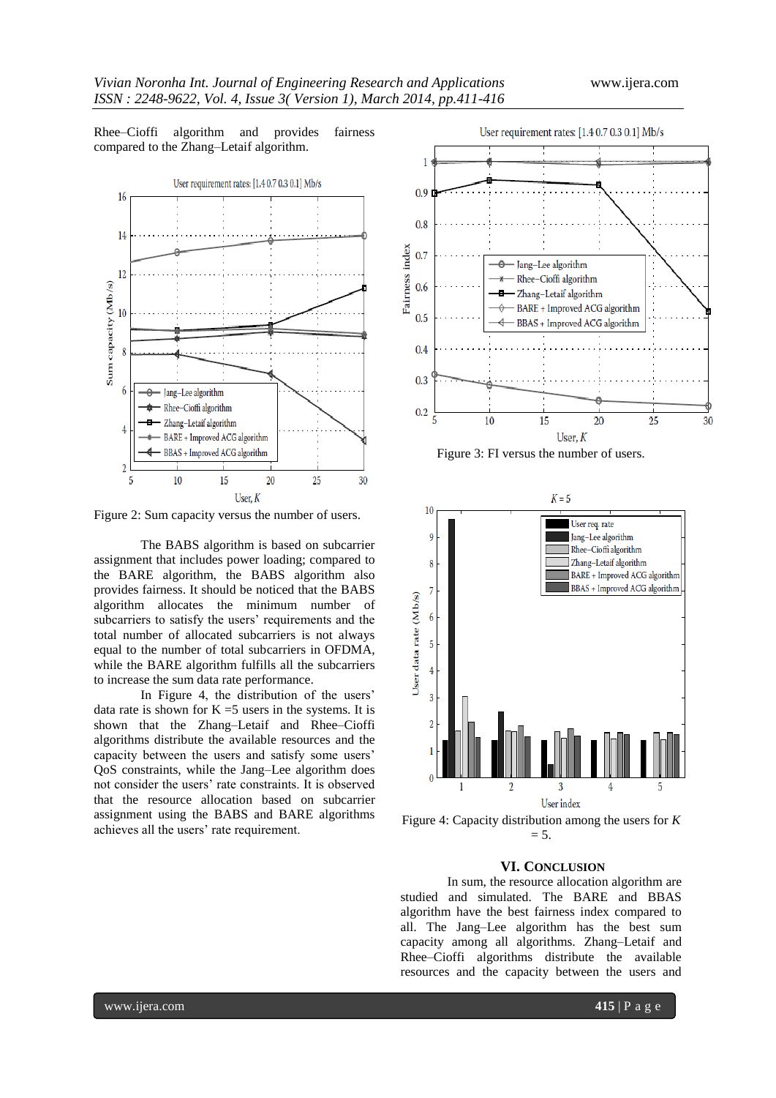Rhee–Cioffi algorithm and provides fairness compared to the Zhang–Letaif algorithm.



Figure 2: Sum capacity versus the number of users.

The BABS algorithm is based on subcarrier assignment that includes power loading; compared to the BARE algorithm, the BABS algorithm also provides fairness. It should be noticed that the BABS algorithm allocates the minimum number of subcarriers to satisfy the users' requirements and the total number of allocated subcarriers is not always equal to the number of total subcarriers in OFDMA, while the BARE algorithm fulfills all the subcarriers to increase the sum data rate performance.

In Figure 4, the distribution of the users' data rate is shown for  $K = 5$  users in the systems. It is shown that the Zhang–Letaif and Rhee–Cioffi algorithms distribute the available resources and the capacity between the users and satisfy some users' QoS constraints, while the Jang–Lee algorithm does not consider the users' rate constraints. It is observed that the resource allocation based on subcarrier assignment using the BABS and BARE algorithms achieves all the users' rate requirement.









# **VI. CONCLUSION**

In sum, the resource allocation algorithm are studied and simulated. The BARE and BBAS algorithm have the best fairness index compared to all. The Jang–Lee algorithm has the best sum capacity among all algorithms. Zhang–Letaif and Rhee–Cioffi algorithms distribute the available resources and the capacity between the users and